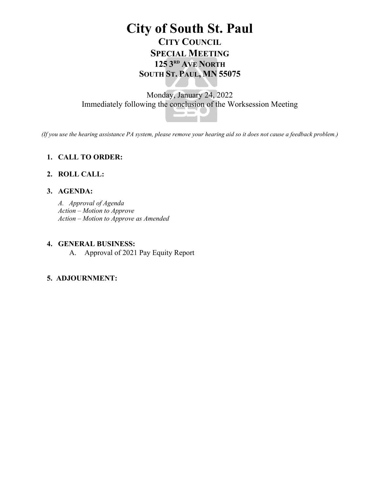# **City of South St. Paul CITY COUNCIL SPECIAL MEETING 125 3RD AVE NORTH SOUTH ST. PAUL, MN 55075**

## Monday, January 24, 2022 Immediately following the conclusion of the Worksession Meeting



*(If you use the hearing assistance PA system, please remove your hearing aid so it does not cause a feedback problem.)*

## **1. CALL TO ORDER:**

### **2. ROLL CALL:**

### **3. AGENDA:**

*A. Approval of Agenda Action – Motion to Approve Action – Motion to Approve as Amended*

#### **4. GENERAL BUSINESS:**

A. Approval of 2021 Pay Equity Report

### **5. ADJOURNMENT:**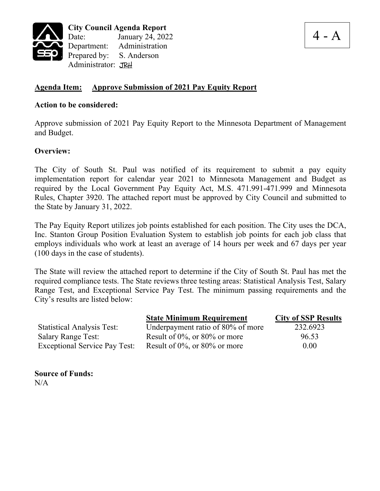

4 - A

## **Agenda Item: Approve Submission of 2021 Pay Equity Report**

#### **Action to be considered:**

Approve submission of 2021 Pay Equity Report to the Minnesota Department of Management and Budget.

#### **Overview:**

The City of South St. Paul was notified of its requirement to submit a pay equity implementation report for calendar year 2021 to Minnesota Management and Budget as required by the Local Government Pay Equity Act, M.S. 471.991-471.999 and Minnesota Rules, Chapter 3920. The attached report must be approved by City Council and submitted to the State by January 31, 2022.

The Pay Equity Report utilizes job points established for each position. The City uses the DCA, Inc. Stanton Group Position Evaluation System to establish job points for each job class that employs individuals who work at least an average of 14 hours per week and 67 days per year (100 days in the case of students).

The State will review the attached report to determine if the City of South St. Paul has met the required compliance tests. The State reviews three testing areas: Statistical Analysis Test, Salary Range Test, and Exceptional Service Pay Test. The minimum passing requirements and the City's results are listed below:

|                                      | <b>State Minimum Requirement</b>    | <b>City of SSP Results</b> |
|--------------------------------------|-------------------------------------|----------------------------|
| <b>Statistical Analysis Test:</b>    | Underpayment ratio of 80% of more   | 232.6923                   |
| <b>Salary Range Test:</b>            | Result of $0\%$ , or $80\%$ or more | 96.53                      |
| <b>Exceptional Service Pay Test:</b> | Result of $0\%$ , or $80\%$ or more | 0.00                       |

**Source of Funds:**  $N/A$